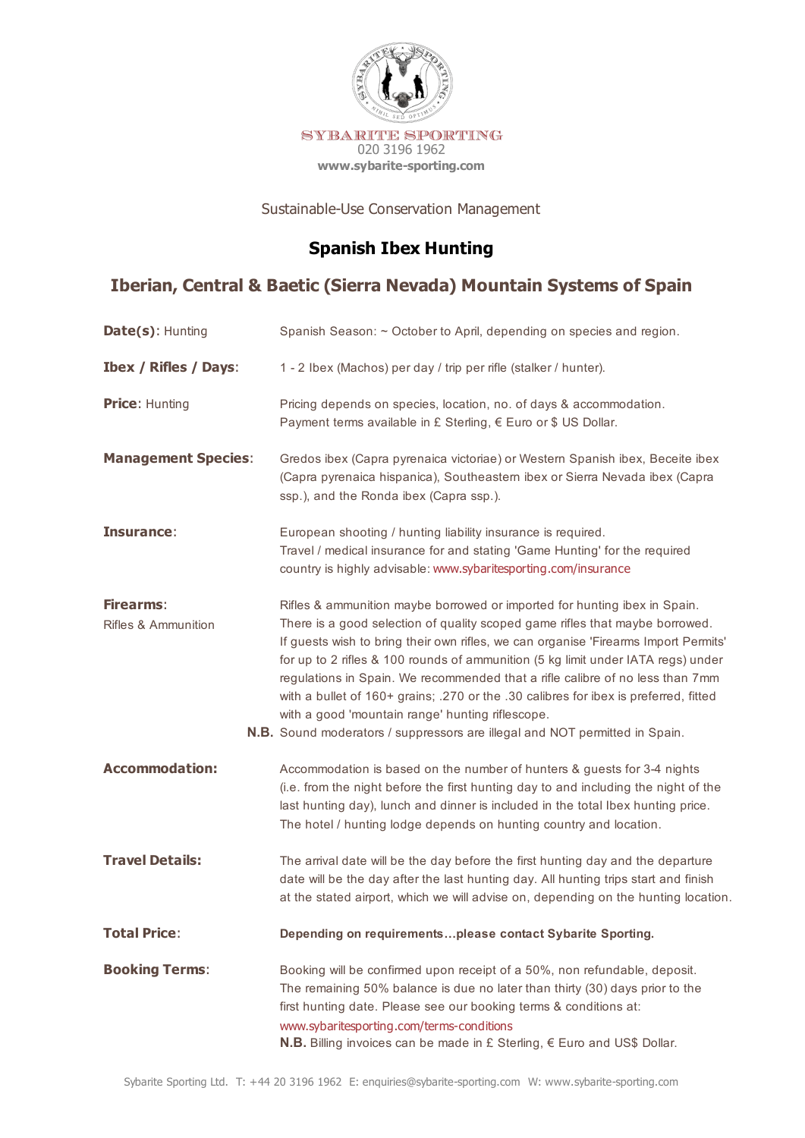

Sustainable-Use Conservation Management

# **Spanish Ibex Hunting**

## **Iberian, Central & Baetic (Sierra Nevada) Mountain Systems of Spain**

| Date(s): Hunting                        | Spanish Season: ~ October to April, depending on species and region.                                                                                                                                                                                                                                                                                                                                                                                                                                                                                                                                                                                    |
|-----------------------------------------|---------------------------------------------------------------------------------------------------------------------------------------------------------------------------------------------------------------------------------------------------------------------------------------------------------------------------------------------------------------------------------------------------------------------------------------------------------------------------------------------------------------------------------------------------------------------------------------------------------------------------------------------------------|
| <b>Ibex / Rifles / Days:</b>            | 1 - 2 Ibex (Machos) per day / trip per rifle (stalker / hunter).                                                                                                                                                                                                                                                                                                                                                                                                                                                                                                                                                                                        |
| <b>Price: Hunting</b>                   | Pricing depends on species, location, no. of days & accommodation.<br>Payment terms available in £ Sterling, € Euro or \$ US Dollar.                                                                                                                                                                                                                                                                                                                                                                                                                                                                                                                    |
| <b>Management Species:</b>              | Gredos ibex (Capra pyrenaica victoriae) or Western Spanish ibex, Beceite ibex<br>(Capra pyrenaica hispanica), Southeastern ibex or Sierra Nevada ibex (Capra<br>ssp.), and the Ronda ibex (Capra ssp.).                                                                                                                                                                                                                                                                                                                                                                                                                                                 |
| Insurance:                              | European shooting / hunting liability insurance is required.<br>Travel / medical insurance for and stating 'Game Hunting' for the required<br>country is highly advisable: www.sybaritesporting.com/insurance                                                                                                                                                                                                                                                                                                                                                                                                                                           |
| <b>Firearms:</b><br>Rifles & Ammunition | Rifles & ammunition maybe borrowed or imported for hunting ibex in Spain.<br>There is a good selection of quality scoped game rifles that maybe borrowed.<br>If guests wish to bring their own rifles, we can organise 'Firearms Import Permits'<br>for up to 2 rifles & 100 rounds of ammunition (5 kg limit under IATA regs) under<br>regulations in Spain. We recommended that a rifle calibre of no less than 7mm<br>with a bullet of 160+ grains; .270 or the .30 calibres for ibex is preferred, fitted<br>with a good 'mountain range' hunting riflescope.<br><b>N.B.</b> Sound moderators / suppressors are illegal and NOT permitted in Spain. |
| <b>Accommodation:</b>                   | Accommodation is based on the number of hunters & guests for 3-4 nights<br>(i.e. from the night before the first hunting day to and including the night of the<br>last hunting day), lunch and dinner is included in the total Ibex hunting price.<br>The hotel / hunting lodge depends on hunting country and location.                                                                                                                                                                                                                                                                                                                                |
| <b>Travel Details:</b>                  | The arrival date will be the day before the first hunting day and the departure<br>date will be the day after the last hunting day. All hunting trips start and finish<br>at the stated airport, which we will advise on, depending on the hunting location.                                                                                                                                                                                                                                                                                                                                                                                            |
| <b>Total Price:</b>                     | Depending on requirementsplease contact Sybarite Sporting.                                                                                                                                                                                                                                                                                                                                                                                                                                                                                                                                                                                              |
| <b>Booking Terms:</b>                   | Booking will be confirmed upon receipt of a 50%, non refundable, deposit.<br>The remaining 50% balance is due no later than thirty (30) days prior to the<br>first hunting date. Please see our booking terms & conditions at:<br>www.sybaritesporting.com/terms-conditions<br><b>N.B.</b> Billing invoices can be made in £ Sterling, $∈$ Euro and US\$ Dollar.                                                                                                                                                                                                                                                                                        |